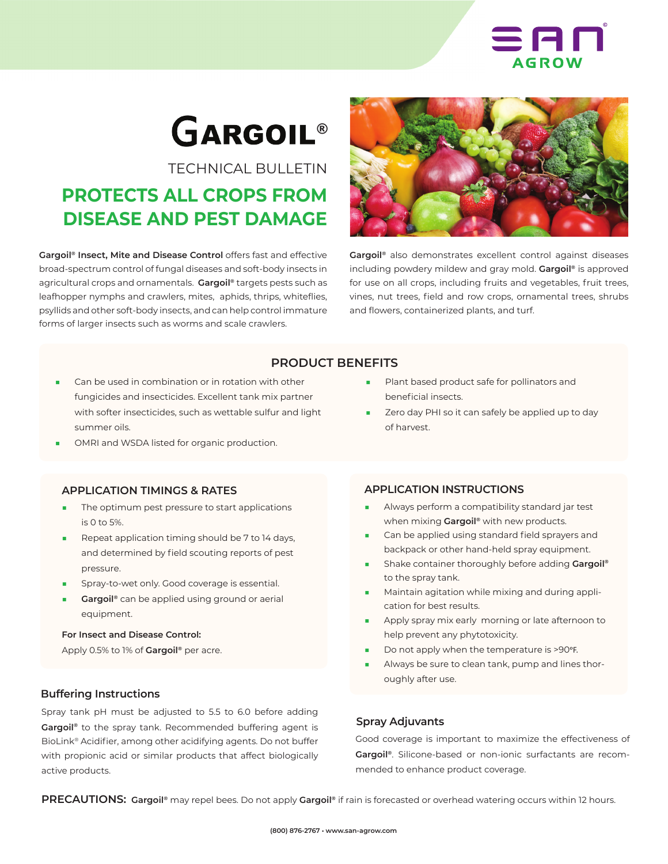

# **GARGOIL®**

TECHNICAL BULLETIN

# **PROTECTS ALL CROPS FROM DISEASE AND PEST DAMAGE**

**Gargoil® Insect, Mite and Disease Control** offers fast and effective broad-spectrum control of fungal diseases and soft-body insects in agricultural crops and ornamentals. **Gargoil®** targets pests such as leafhopper nymphs and crawlers, mites, aphids, thrips, whiteflies, psyllids and other soft-body insects, and can help control immature forms of larger insects such as worms and scale crawlers.



**Gargoil®** also demonstrates excellent control against diseases including powdery mildew and gray mold. **Gargoil®** is approved for use on all crops, including fruits and vegetables, fruit trees, vines, nut trees, field and row crops, ornamental trees, shrubs and flowers, containerized plants, and turf.

# **PRODUCT BENEFITS**

- Can be used in combination or in rotation with other fungicides and insecticides. Excellent tank mix partner with softer insecticides, such as wettable sulfur and light summer oils.
- OMRI and WSDA listed for organic production.

#### **APPLICATION TIMINGS & RATES**

- The optimum pest pressure to start applications is 0 to 5%.
- Repeat application timing should be 7 to 14 days, and determined by field scouting reports of pest pressure.
- Spray-to-wet only. Good coverage is essential.
- Gargoil<sup>®</sup> can be applied using ground or aerial equipment.

#### **For Insect and Disease Control:**

Apply 0.5% to 1% of **Gargoil®** per acre.

#### **Buffering Instructions**

Spray tank pH must be adjusted to 5.5 to 6.0 before adding **Gargoil®** to the spray tank. Recommended buffering agent is BioLink® Acidifier, among other acidifying agents. Do not buffer with propionic acid or similar products that affect biologically active products.

# beneficial insects.

Zero day PHI so it can safely be applied up to day of harvest.

Plant based product safe for pollinators and

#### **APPLICATION INSTRUCTIONS**

- Always perform a compatibility standard jar test when mixing **Gargoil®** with new products.
- Can be applied using standard field sprayers and backpack or other hand-held spray equipment.
- Shake container thoroughly before adding **Gargoil®** to the spray tank.
- Maintain agitation while mixing and during application for best results.
- Apply spray mix early morning or late afternoon to help prevent any phytotoxicity.
- Do not apply when the temperature is >90°F.
- Always be sure to clean tank, pump and lines thoroughly after use.

#### **Spray Adjuvants**

Good coverage is important to maximize the effectiveness of **Gargoil®**. Silicone-based or non-ionic surfactants are recommended to enhance product coverage.

**PRECAUTIONS: Gargoil®** may repel bees. Do not apply **Gargoil®** if rain is forecasted or overhead watering occurs within 12 hours.